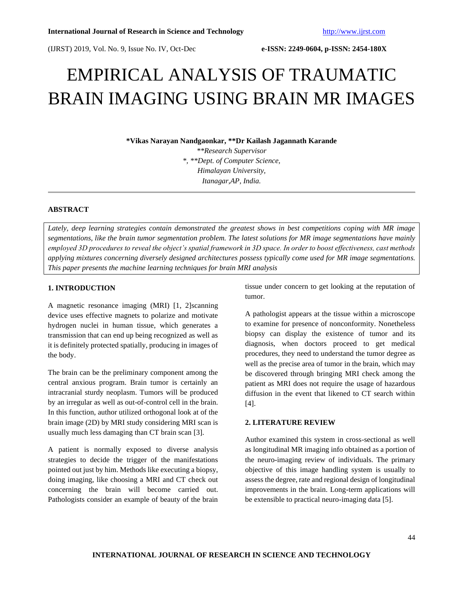# EMPIRICAL ANALYSIS OF TRAUMATIC BRAIN IMAGING USING BRAIN MR IMAGES

**\*Vikas Narayan Nandgaonkar, \*\*Dr Kailash Jagannath Karande** *\*\*Research Supervisor \*, \*\*Dept. of Computer Science, Himalayan University, Itanagar,AP, India.*

# **ABSTRACT**

Lately, deep learning strategies contain demonstrated the greatest shows in best competitions coping with MR image *segmentations, like the brain tumor segmentation problem. The latest solutions for MR image segmentations have mainly employed 3D procedures to reveal the object's spatial framework in 3D space. In order to boost effectiveness, cast methods applying mixtures concerning diversely designed architectures possess typically come used for MR image segmentations. This paper presents the machine learning techniques for brain MRI analysis*

# **1. INTRODUCTION**

A magnetic resonance imaging (MRI) [1, 2]scanning device uses effective magnets to polarize and motivate hydrogen nuclei in human tissue, which generates a transmission that can end up being recognized as well as it is definitely protected spatially, producing in images of the body.

The brain can be the preliminary component among the central anxious program. Brain tumor is certainly an intracranial sturdy neoplasm. Tumors will be produced by an irregular as well as out-of-control cell in the brain. In this function, author utilized orthogonal look at of the brain image (2D) by MRI study considering MRI scan is usually much less damaging than CT brain scan [3].

A patient is normally exposed to diverse analysis strategies to decide the trigger of the manifestations pointed out just by him. Methods like executing a biopsy, doing imaging, like choosing a MRI and CT check out concerning the brain will become carried out. Pathologists consider an example of beauty of the brain

tissue under concern to get looking at the reputation of tumor.

A pathologist appears at the tissue within a microscope to examine for presence of nonconformity. Nonetheless biopsy can display the existence of tumor and its diagnosis, when doctors proceed to get medical procedures, they need to understand the tumor degree as well as the precise area of tumor in the brain, which may be discovered through bringing MRI check among the patient as MRI does not require the usage of hazardous diffusion in the event that likened to CT search within [4].

# **2. LITERATURE REVIEW**

Author examined this system in cross-sectional as well as longitudinal MR imaging info obtained as a portion of the neuro-imaging review of individuals. The primary objective of this image handling system is usually to assess the degree, rate and regional design of longitudinal improvements in the brain. Long-term applications will be extensible to practical neuro-imaging data [5].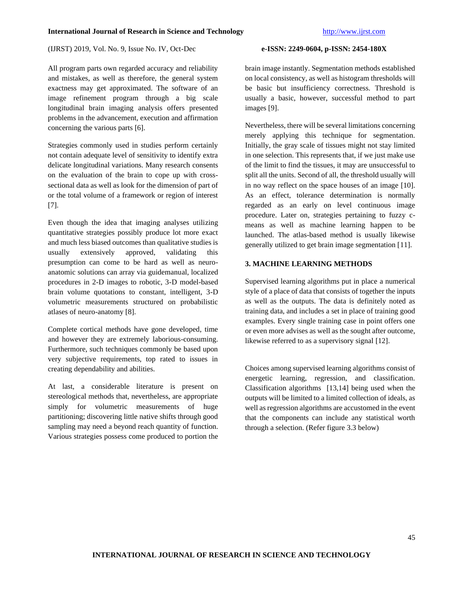# (IJRST) 2019, Vol. No. 9, Issue No. IV, Oct-Dec **e-ISSN: 2249-0604, p-ISSN: 2454-180X**

All program parts own regarded accuracy and reliability and mistakes, as well as therefore, the general system exactness may get approximated. The software of an image refinement program through a big scale longitudinal brain imaging analysis offers presented problems in the advancement, execution and affirmation concerning the various parts [6].

Strategies commonly used in studies perform certainly not contain adequate level of sensitivity to identify extra delicate longitudinal variations. Many research consents on the evaluation of the brain to cope up with crosssectional data as well as look for the dimension of part of or the total volume of a framework or region of interest [7].

Even though the idea that imaging analyses utilizing quantitative strategies possibly produce lot more exact and much less biased outcomes than qualitative studies is usually extensively approved, validating this presumption can come to be hard as well as neuroanatomic solutions can array via guidemanual, localized procedures in 2-D images to robotic, 3-D model-based brain volume quotations to constant, intelligent, 3-D volumetric measurements structured on probabilistic atlases of neuro-anatomy [8].

Complete cortical methods have gone developed, time and however they are extremely laborious-consuming. Furthermore, such techniques commonly be based upon very subjective requirements, top rated to issues in creating dependability and abilities.

At last, a considerable literature is present on stereological methods that, nevertheless, are appropriate simply for volumetric measurements of huge partitioning; discovering little native shifts through good sampling may need a beyond reach quantity of function. Various strategies possess come produced to portion the

brain image instantly. Segmentation methods established on local consistency, as well as histogram thresholds will be basic but insufficiency correctness. Threshold is usually a basic, however, successful method to part images [9].

Nevertheless, there will be several limitations concerning merely applying this technique for segmentation. Initially, the gray scale of tissues might not stay limited in one selection. This represents that, if we just make use of the limit to find the tissues, it may are unsuccessful to split all the units. Second of all, the threshold usually will in no way reflect on the space houses of an image [10]. As an effect, tolerance determination is normally regarded as an early on level continuous image procedure. Later on, strategies pertaining to fuzzy cmeans as well as machine learning happen to be launched. The atlas-based method is usually likewise generally utilized to get brain image segmentation [11].

# **3. MACHINE LEARNING METHODS**

Supervised learning algorithms put in place a numerical style of a place of data that consists of together the inputs as well as the outputs. The data is definitely noted as training data, and includes a set in place of training good examples. Every single training case in point offers one or even more advises as well as the sought after outcome, likewise referred to as a supervisory signal [12].

Choices among supervised learning algorithms consist of energetic learning, regression, and classification. Classification algorithms [13,14] being used when the outputs will be limited to a limited collection of ideals, as well as regression algorithms are accustomed in the event that the components can include any statistical worth through a selection. (Refer figure 3.3 below)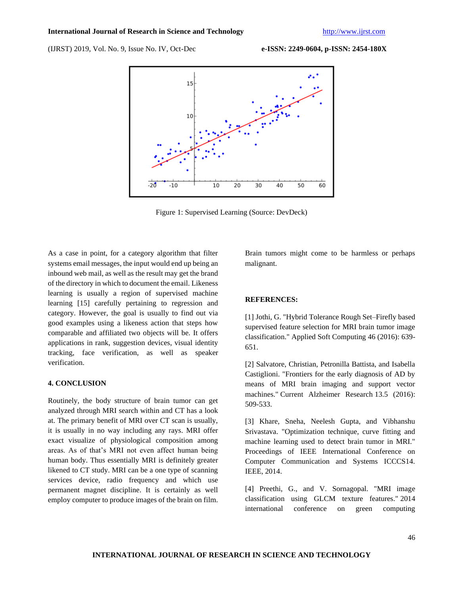### **International Journal of Research in Science and Technology** [http://www.ijrst.com](http://www.ijrst.com/)

(IJRST) 2019, Vol. No. 9, Issue No. IV, Oct-Dec **e-ISSN: 2249-0604, p-ISSN: 2454-180X**



Figure 1: Supervised Learning (Source: DevDeck)

As a case in point, for a category algorithm that filter systems email messages, the input would end up being an inbound web mail, as well as the result may get the brand of the directory in which to document the email. Likeness learning is usually a region of supervised machine learning [15] carefully pertaining to regression and category. However, the goal is usually to find out via good examples using a likeness action that steps how comparable and affiliated two objects will be. It offers applications in rank, suggestion devices, visual identity tracking, face verification, as well as speaker verification.

# **4. CONCLUSION**

Routinely, the body structure of brain tumor can get analyzed through MRI search within and CT has a look at. The primary benefit of MRI over CT scan is usually, it is usually in no way including any rays. MRI offer exact visualize of physiological composition among areas. As of that's MRI not even affect human being human body. Thus essentially MRI is definitely greater likened to CT study. MRI can be a one type of scanning services device, radio frequency and which use permanent magnet discipline. It is certainly as well employ computer to produce images of the brain on film.

Brain tumors might come to be harmless or perhaps malignant.

### **REFERENCES:**

[1] Jothi, G. "Hybrid Tolerance Rough Set–Firefly based supervised feature selection for MRI brain tumor image classification." Applied Soft Computing 46 (2016): 639- 651.

[2] Salvatore, Christian, Petronilla Battista, and Isabella Castiglioni. "Frontiers for the early diagnosis of AD by means of MRI brain imaging and support vector machines." Current Alzheimer Research 13.5 (2016): 509-533.

[3] Khare, Sneha, Neelesh Gupta, and Vibhanshu Srivastava. "Optimization technique, curve fitting and machine learning used to detect brain tumor in MRI." Proceedings of IEEE International Conference on Computer Communication and Systems ICCCS14. IEEE, 2014.

[4] Preethi, G., and V. Sornagopal. "MRI image classification using GLCM texture features." 2014 international conference on green computing